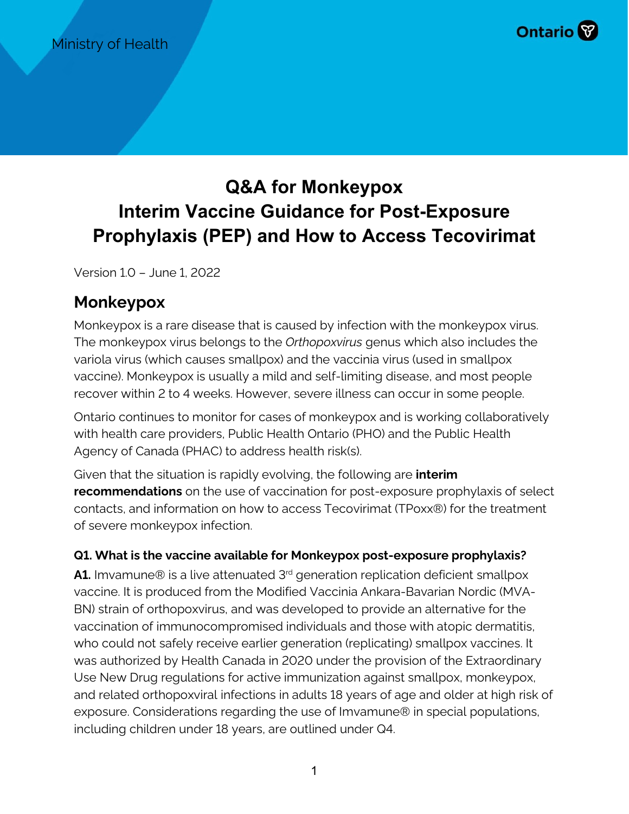

# **Q&A for Monkeypox Interim Vaccine Guidance for Post-Exposure Prophylaxis (PEP) and How to Access Tecovirimat**

Version 1.0 – June 1, 2022

## **Monkeypox**

Monkeypox is a rare disease that is caused by infection with the monkeypox virus. The monkeypox virus belongs to the *Orthopoxvirus* genus which also includes the variola virus (which causes smallpox) and the vaccinia virus (used in smallpox vaccine). Monkeypox is usually a mild and self-limiting disease, and most people recover within 2 to 4 weeks. However, severe illness can occur in some people.

Ontario continues to monitor for cases of monkeypox and is working collaboratively with health care providers, Public Health Ontario (PHO) and the Public Health Agency of Canada (PHAC) to address health risk(s).

Given that the situation is rapidly evolving, the following are **interim recommendations** on the use of vaccination for post-exposure prophylaxis of select contacts, and information on how to access Tecovirimat (TPoxx®) for the treatment of severe monkeypox infection.

## **Q1. What is the vaccine available for Monkeypox post-exposure prophylaxis?**

**A1.** Imvamune® is a live attenuated 3<sup>rd</sup> generation replication deficient smallpox vaccine. It is produced from the Modified Vaccinia Ankara-Bavarian Nordic (MVA-BN) strain of orthopoxvirus, and was developed to provide an alternative for the vaccination of immunocompromised individuals and those with atopic dermatitis, who could not safely receive earlier generation (replicating) smallpox vaccines. It was authorized by Health Canada in 2020 under the provision of the Extraordinary Use New Drug regulations for active immunization against smallpox, monkeypox, and related orthopoxviral infections in adults 18 years of age and older at high risk of exposure. Considerations regarding the use of Imvamune® in special populations, including children under 18 years, are outlined under Q4.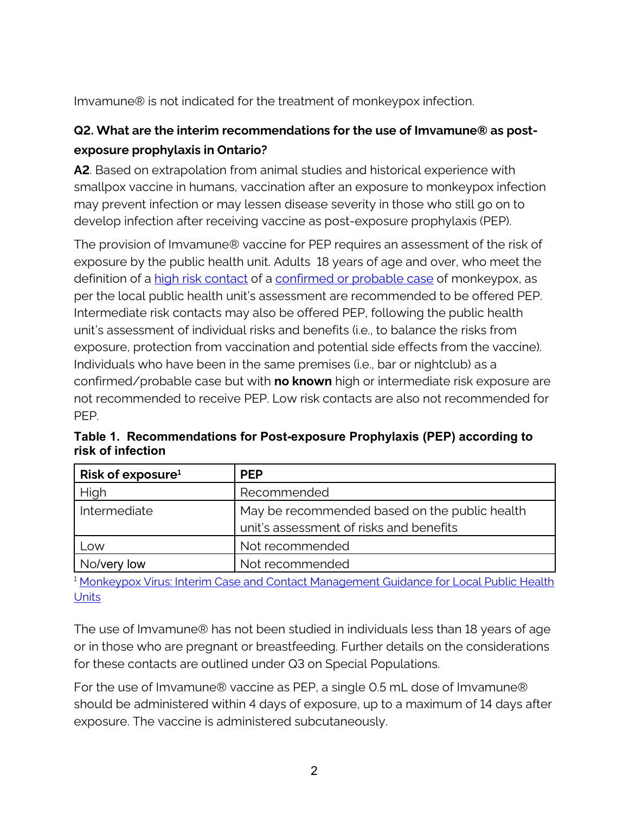Imvamune® is not indicated for the treatment of monkeypox infection.

## **Q2. What are the interim recommendations for the use of Imvamune® as postexposure prophylaxis in Ontario?**

**A2**. Based on extrapolation from animal studies and historical experience with smallpox vaccine in humans, vaccination after an exposure to monkeypox infection may prevent infection or may lessen disease severity in those who still go on to develop infection after receiving vaccine as post-exposure prophylaxis (PEP).

The provision of Imvamune® vaccine for PEP requires an assessment of the risk of exposure by the public health unit. Adults 18 years of age and over, who meet the definition of a [high risk contact](https://www.publichealthontario.ca/-/media/Documents/M/2022/monkeypox-virus-interim-case-contact-management-guidance-phu.pdf?sc_lang=en) of a [confirmed or probable case](https://www.health.gov.on.ca/en/pro/programs/emb/docs/CMOH_77.6_Order_Monkeypox_HCP_PHU.pdf) of monkeypox, as per the local public health unit's assessment are recommended to be offered PEP. Intermediate risk contacts may also be offered PEP, following the public health unit's assessment of individual risks and benefits (i.e., to balance the risks from exposure, protection from vaccination and potential side effects from the vaccine). Individuals who have been in the same premises (i.e., bar or nightclub) as a confirmed/probable case but with **no known** high or intermediate risk exposure are not recommended to receive PEP. Low risk contacts are also not recommended for PEP.

| Risk of exposure $1$ | <b>PEP</b>                                    |
|----------------------|-----------------------------------------------|
| High                 | Recommended                                   |
| Intermediate         | May be recommended based on the public health |
|                      | unit's assessment of risks and benefits       |
| Low                  | Not recommended                               |
| No/very low          | Not recommended                               |

**Table 1. Recommendations for Post-exposure Prophylaxis (PEP) according to risk of infection**

<sup>1</sup> Monkeypox Virus: Interim Case and Contact Management Guidance for Local Public Health **Units** 

The use of Imvamune® has not been studied in individuals less than 18 years of age or in those who are pregnant or breastfeeding. Further details on the considerations for these contacts are outlined under Q3 on Special Populations.

For the use of Imvamune® vaccine as PEP, a single 0.5 mL dose of Imvamune® should be administered within 4 days of exposure, up to a maximum of 14 days after exposure. The vaccine is administered subcutaneously.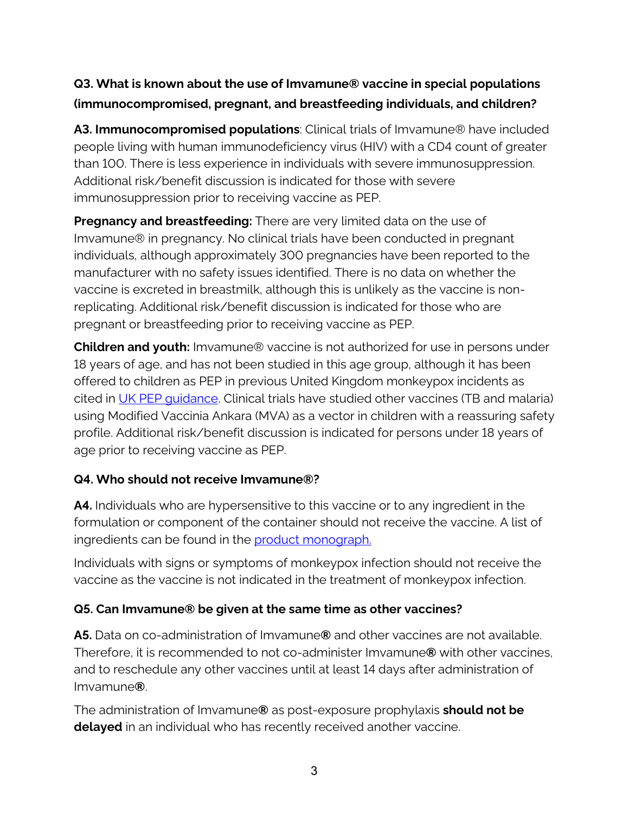## **Q3. What is known about the use of Imvamune® vaccine in special populations (immunocompromised, pregnant, and breastfeeding individuals, and children?**

**A3. Immunocompromised populations**: Clinical trials of Imvamune® have included people living with human immunodeficiency virus (HIV) with a CD4 count of greater than 100. There is less experience in individuals with severe immunosuppression. Additional risk/benefit discussion is indicated for those with severe immunosuppression prior to receiving vaccine as PEP.

**Pregnancy and breastfeeding:** There are very limited data on the use of Imvamune® in pregnancy. No clinical trials have been conducted in pregnant individuals, although approximately 300 pregnancies have been reported to the manufacturer with no safety issues identified. There is no data on whether the vaccine is excreted in breastmilk, although this is unlikely as the vaccine is nonreplicating. Additional risk/benefit discussion is indicated for those who are pregnant or breastfeeding prior to receiving vaccine as PEP.

**Children and youth:** Imvamune® vaccine is not authorized for use in persons under 18 years of age, and has not been studied in this age group, although it has been offered to children as PEP in previous United Kingdom monkeypox incidents as cited in [UK PEP guidance.](https://assets.publishing.service.gov.uk/government/uploads/system/uploads/attachment_data/file/1079498/Recommendations-for-pre-and-post-exposure-vaccination-during-a-monkeypox-incident-27-may-2022.pdf) Clinical trials have studied other vaccines (TB and malaria) using Modified Vaccinia Ankara (MVA) as a vector in children with a reassuring safety profile. Additional risk/benefit discussion is indicated for persons under 18 years of age prior to receiving vaccine as PEP.

## **Q4. Who should not receive Imvamune®?**

**A4.** Individuals who are hypersensitive to this vaccine or to any ingredient in the formulation or component of the container should not receive the vaccine. A list of ingredients can be found in the [product monograph.](https://pdf.hres.ca/dpd_pm/00058622.PDF)

Individuals with signs or symptoms of monkeypox infection should not receive the vaccine as the vaccine is not indicated in the treatment of monkeypox infection.

#### **Q5. Can Imvamune® be given at the same time as other vaccines?**

**A5.** Data on co-administration of Imvamune**®** and other vaccines are not available. Therefore, it is recommended to not co-administer Imvamune**®** with other vaccines, and to reschedule any other vaccines until at least 14 days after administration of Imvamune**®**.

The administration of Imvamune**®** as post-exposure prophylaxis **should not be delayed** in an individual who has recently received another vaccine.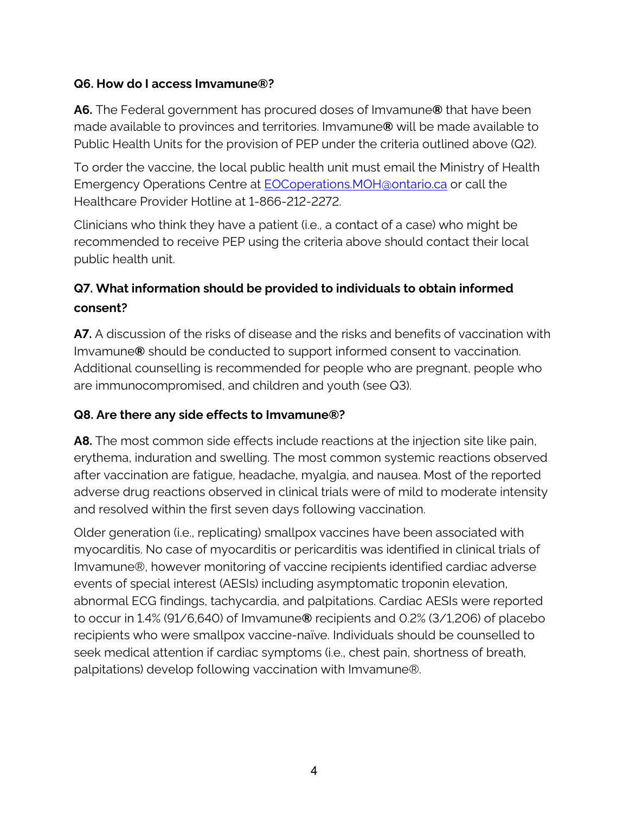### **Q6. How do I access Imvamune®?**

**A6.** The Federal government has procured doses of Imvamune**®** that have been made available to provinces and territories. Imvamune**®** will be made available to Public Health Units for the provision of PEP under the criteria outlined above (Q2).

To order the vaccine, the local public health unit must email the Ministry of Health Emergency Operations Centre at **EOCoperations.MOH**@ontario.ca or call the Healthcare Provider Hotline at 1-866-212-2272.

Clinicians who think they have a patient (i.e., a contact of a case) who might be recommended to receive PEP using the criteria above should contact their local public health unit.

## **Q7. What information should be provided to individuals to obtain informed consent?**

**A7.** A discussion of the risks of disease and the risks and benefits of vaccination with Imvamune**®** should be conducted to support informed consent to vaccination. Additional counselling is recommended for people who are pregnant, people who are immunocompromised, and children and youth (see Q3).

## **Q8. Are there any side effects to Imvamune®?**

**A8.** The most common side effects include reactions at the injection site like pain, erythema, induration and swelling. The most common systemic reactions observed after vaccination are fatigue, headache, myalgia, and nausea. Most of the reported adverse drug reactions observed in clinical trials were of mild to moderate intensity and resolved within the first seven days following vaccination.

Older generation (i.e., replicating) smallpox vaccines have been associated with myocarditis. No case of myocarditis or pericarditis was identified in clinical trials of Imvamune®, however monitoring of vaccine recipients identified cardiac adverse events of special interest (AESIs) including asymptomatic troponin elevation, abnormal ECG findings, tachycardia, and palpitations. Cardiac AESIs were reported to occur in 1.4% (91/6,640) of Imvamune**®** recipients and 0.2% (3/1,206) of placebo recipients who were smallpox vaccine-naïve. Individuals should be counselled to seek medical attention if cardiac symptoms (i.e., chest pain, shortness of breath, palpitations) develop following vaccination with Imvamune®.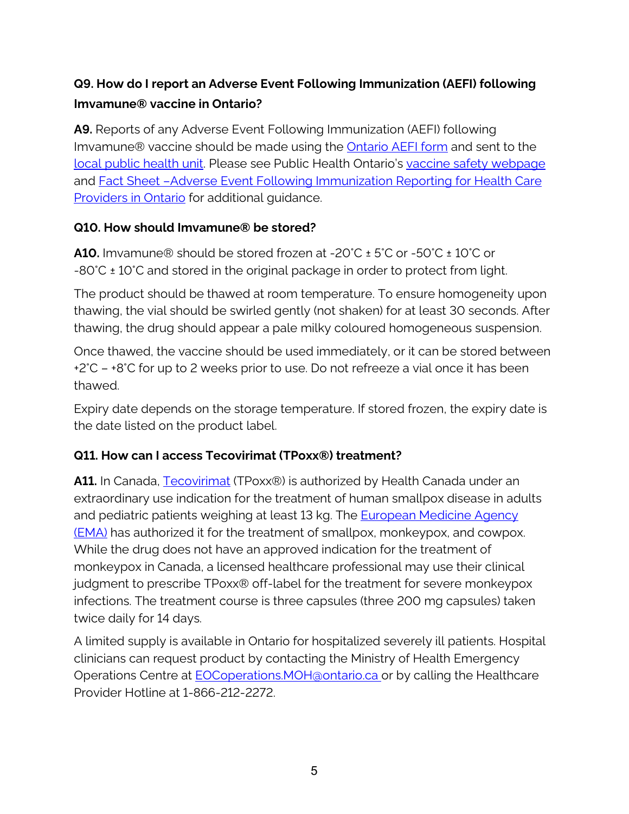## **Q9. How do I report an Adverse Event Following Immunization (AEFI) following Imvamune® vaccine in Ontario?**

**A9.** Reports of any Adverse Event Following Immunization (AEFI) following Imvamune® vaccine should be made using the **Ontario AEFI form** and sent to the [local public health unit.](https://www.health.gov.on.ca/en/common/system/services/phu/locations.aspx) Please see Public Health Ontario's [vaccine safety webpage](https://www.publichealthontario.ca/en/health-topics/immunization/vaccine-safety) and **Fact Sheet -Adverse Event Following Immunization Reporting for Health Care** [Providers in Ontario](https://www.publichealthontario.ca/-/media/Documents/A/2016/aefi-reporting-overview.pdf?sc_lang=en&hash=9EAD5FB734A076C460C2A09FF1B83D43) for additional guidance.

#### **Q10. How should Imvamune® be stored?**

**A10.** Imvamune® should be stored frozen at -20°C ± 5°C or -50°C ± 10°C or -80°C ± 10°C and stored in the original package in order to protect from light.

The product should be thawed at room temperature. To ensure homogeneity upon thawing, the vial should be swirled gently (not shaken) for at least 30 seconds. After thawing, the drug should appear a pale milky coloured homogeneous suspension.

Once thawed, the vaccine should be used immediately, or it can be stored between +2°C – +8°C for up to 2 weeks prior to use. Do not refreeze a vial once it has been thawed.

Expiry date depends on the storage temperature. If stored frozen, the expiry date is the date listed on the product label.

## **Q11. How can I access Tecovirimat (TPoxx®) treatment?**

**A11.** In Canada, [Tecovirimat](https://pdf.hres.ca/dpd_pm/00063782.PDF) (TPoxx®) is authorized by Health Canada under an extraordinary use indication for the treatment of human smallpox disease in adults and pediatric patients weighing at least 13 kg. The [European Medicine Agency](https://www.ema.europa.eu/en/documents/product-information/tecovirimat-siga-epar-product-information_en.pdf)  [\(EMA\)](https://www.ema.europa.eu/en/documents/product-information/tecovirimat-siga-epar-product-information_en.pdf) has authorized it for the treatment of smallpox, monkeypox, and cowpox. While the drug does not have an approved indication for the treatment of monkeypox in Canada, a licensed healthcare professional may use their clinical judgment to prescribe TPoxx® off-label for the treatment for severe monkeypox infections. The treatment course is three capsules (three 200 mg capsules) taken twice daily for 14 days.

A limited supply is available in Ontario for hospitalized severely ill patients. Hospital clinicians can request product by contacting the Ministry of Health Emergency Operations Centre at **EOCoperations.MOH**@ontario.ca or by calling the Healthcare Provider Hotline at 1-866-212-2272.